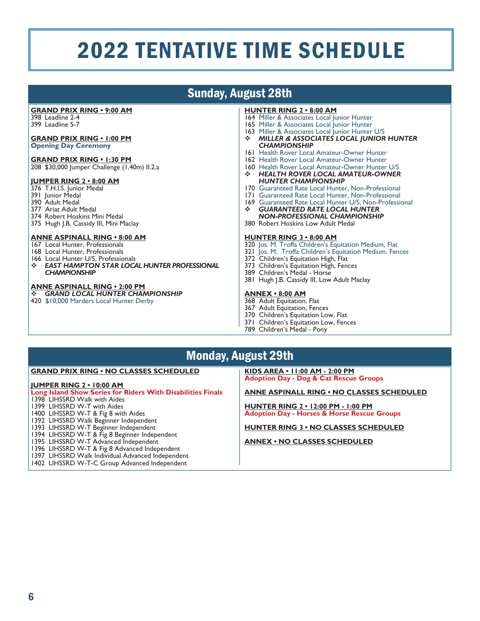# Sunday, August 28th

#### **GRAND PRIX RING • 9:00 AM**

398 Leadline 2-4 399 Leadline 5-7

## **GRAND PRIX RING • 1:00 PM**

## **Opening Day Ceremony**

#### **GRAND PRIX RING • 1:30 PM**

208 \$30,000 Jumper Challenge (1.40m) II.2.a

#### **JUMPER RING 2 • 8:00 AM**

- 376 T.H.I.S. Junior Medal
- 391 Junior Medal
- 390 Adult Medal 377 Ariat Adult Medal
- 
- 374 Robert Hoskins Mini Medal 375 Hugh J.B. Cassidy III, Mini Maclay

## **ANNE ASPINALL RING • 8:00 AM**

- 167 Local Hunter, Professionals
- 168 Local Hunter, Professionals
- 166 Local Hunter U/S, Professionals<br> **EXECUTE HAMPTON STAR LOCAL**
- *EAST HAMPTON STAR LOCAL HUNTER PROFESSIONAL CHAMPIONSHIP*

#### **ANNE ASPINALL RING • 2:00 PM**

- *GRAND LOCAL HUNTER CHAMPIONSHIP*
- 420 \$10,000 Marders Local Hunter Derby

#### **HUNTER RING 2 • 8:00 AM**

- 164 Miller & Associates Local Junior Hunter
- 165 Miller & Associates Local Junior Hunter
- 163 Miller & Associates Local Junior Hunter U/S *MILLER & ASSOCIATES LOCAL JUNIOR HUNTER*
- *CHAMPIONSHIP* 161 Health Rover Local Amateur-Owner Hunter
- 162 Health Rover Local Amateur-Owner Hunter
- 160 Health Rover Local Amateur-Owner Hunter U/S
- *HEALTH ROVER LOCAL AMATEUR-OWNER HUNTER CHAMPIONSHIP*
- 170 Guaranteed Rate Local Hunter, Non-Professional
- 171 Guaranteed Rate Local Hunter, Non-Professional
- 169 Guaranteed Rate Local Hunter U/S, Non-Professional<br> **SUARANTEED RATE LOCAL HUNTER**  *GUARANTEED RATE LOCAL HUNTER NON-PROFESSIONAL CHAMPIONSHIP*
- 380 Robert Hoskins Low Adult Medal

#### **HUNTER RING 3 • 8:00 AM**

- 320 Jos. M. Troffa Children's Equitation Medium, Flat
- 321 Jos. M. Troffa Children's Equitation Medium, Fences
- 372 Children's Equitation High, Flat
- 373 Children's Equitation High, Fences
- 389 Children's Medal Horse
- 381 Hugh J.B. Cassidy III, Low Adult Maclay

## **ANNEX • 8:00 AM**

- 368 Adult Equitation, Flat
- 367 Adult Equitation, Fences
- 370 Children's Equitation Low, Flat
- 371 Children's Equitation Low, Fences
- 789 Children's Medal Pony

## Monday, August 29th

#### **GRAND PRIX RING • NO CLASSES SCHEDULED**

#### **JUMPER RING 2 • 10:00 AM**

## **Long Island Show Series for Riders With Disabilities Finals**

1398 LIHSSRD Walk with Aides

- 1399 LIHSSRD W-T with Aides
- 1400 LIHSSRD W-T & Fig 8 with Aides
- 1392 LIHSSRD Walk Beginner Independent
- 1393 LIHSSRD W-T Beginner Independent
- 1394 LIHSSRD W-T & Fig 8 Beginner Independent
- 1395 LIHSSRD W-T Advanced Independent
- 1396 LIHSSRD W-T & Fig 8 Advanced Independent
- 1397 LIHSSRD Walk Individual Advanced Independent
- 1402 LIHSSRD W-T-C Group Advanced Independent

#### **KIDS AREA • 11:00 AM - 2:00 PM Adoption Day - Dog & Cat Rescue Groups**

#### **ANNE ASPINALL RING • NO CLASSES SCHEDULED**

**HUNTER RING 2 • 12:00 PM - 1:00 PM Adoption Day - Horses & Horse Rescue Groups**

**HUNTER RING 3 • NO CLASSES SCHEDULED**

**ANNEX • NO CLASSES SCHEDULED**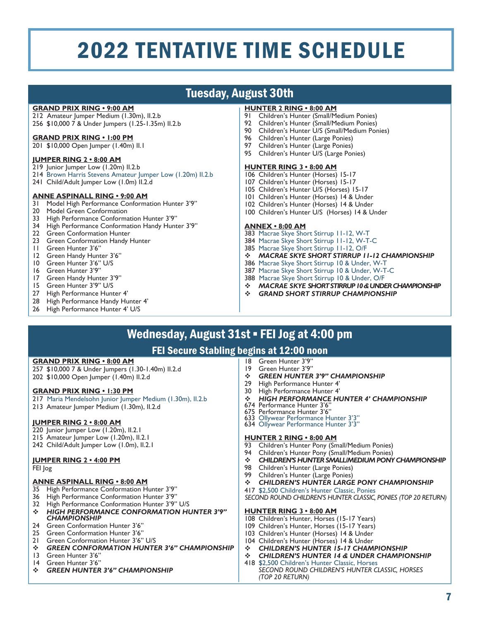# Tuesday, August 30th

## **GRAND PRIX RING • 9:00 AM**

212 Amateur Jumper Medium (1.30m), II.2.b 256 \$10,000 7 & Under Jumpers (1.25-1.35m) II.2.b

#### **GRAND PRIX RING • 1:00 PM**

201 \$10,000 Open Jumper (1.40m) II.1

#### **JUMPER RING 2 • 8:00 AM**

- 219 Junior Jumper Low (1.20m) II.2.b
- 214 Brown Harris Stevens Amateur Jumper Low (1.20m) II.2.b
- 241 Child/Adult Jumper Low (1.0m) II.2.d

#### **ANNE ASPINALL RING • 9:00 AM**

- 31 Model High Performance Conformation Hunter 3'9"
- 20 Model Green Conformation<br>33 High Performance Conforma
- High Performance Conformation Hunter 3'9"
- 34 High Performance Conformation Handy Hunter 3'9"
- 22 Green Conformation Hunter
- 23 Green Conformation Handy Hunter
- 11 Green Hunter 3'6"
- 12 Green Handy Hunter 3'6"<br>10 Green Hunter 3'6" U/S
- Green Hunter 3'6" U/S
- 16 Green Hunter 3'9"<br>17 Green Handy Hunt
- 17 Green Handy Hunter 3'9"<br>15 Green Hunter 3'9" U/S
- 15 Green Hunter 3'9" U/S<br>27 High Performance Hunt
- High Performance Hunter 4'
- 28 High Performance Handy Hunter 4'<br>26 High Performance Hunter 4' U/S
- High Performance Hunter 4' U/S

#### **HUNTER 2 RING • 8:00 AM**

- 91 Children's Hunter (Small/Medium Ponies)
- 92 Children's Hunter (Small/Medium Ponies)
- 90 Children's Hunter U/S (Small/Medium Ponies)<br>96 Children's Hunter (Large Ponies)
- 96 Children's Hunter (Large Ponies)<br>97 Children's Hunter (Large Ponies)
- Children's Hunter (Large Ponies)
- 95 Children's Hunter U/S (Large Ponies)

#### **HUNTER RING 3 • 8:00 AM**

- 106 Children's Hunter (Horses) 15-17
- 107 Children's Hunter (Horses) 15-17
- 105 Children's Hunter U/S (Horses) 15-17
- 101 Children's Hunter (Horses) 14 & Under
- 102 Children's Hunter (Horses) 14 & Under
- 100 Children's Hunter U/S (Horses) 14 & Under

#### **ANNEX • 8:00 AM**

- 383 Macrae Skye Short Stirrup 11-12, W-T
- 384 Macrae Skye Short Stirrup 11-12, W-T-C
- 385 Macrae Skye Short Stirrup 11-12, O/F
- *MACRAE SKYE SHORT STIRRUP 11-12 CHAMPIONSHIP*
- 386 Macrae Skye Short Stirrup 10 & Under, W-T
- 387 Macrae Skye Short Stirrup 10 & Under, W-T-C
- 388 Macrae Skye Short Stirrup 10 & Under, O/F
- *MACRAE SKYE SHORT STIRRUP 10 & UNDER CHAMPIONSHIP*
- *GRAND SHORT STIRRUP CHAMPIONSHIP*

# Wednesday, August 31st · FEI Jog at 4:00 pm

## FEI Secure Stabling begins at 12:00 noon

#### **GRAND PRIX RING • 8:00 AM**

257 \$10,000 7 & Under Jumpers (1.30-1.40m) II.2.d 202 \$10,000 Open Jumper (1.40m) II.2.d

#### **GRAND PRIX RING • 1:30 PM**

- 217 Maria Mendelsohn Junior Jumper Medium (1.30m), II.2.b
- 213 Amateur Jumper Medium (1.30m), II.2.d

## **JUMPER RING 2 • 8:00 AM**

- 220 Junior Jumper Low (1.20m), II.2.1
- 215 Amateur Jumper Low (1.20m), II.2.1
- 242 Child/Adult Jumper Low (1.0m), II.2.1

## **JUMPER RING 2 • 4:00 PM**

FEI Jog

## **ANNE ASPINALL RING • 8:00 AM**

- 35 High Performance Conformation Hunter 3'9"
- 36 High Performance Conformation Hunter 3'9"
- 32 High Performance Conformation Hunter 3'9" U/S
- *HIGH PERFORMANCE CONFORMATION HUNTER 3'9" CHAMPIONSHIP*
- Green Conformation Hunter 3'6"
- 25 Green Conformation Hunter 3'6"<br>21 Green Conformation Hunter 3'6"
- 21 Green Conformation Hunter 3'6" U/S
- **→ GREEN CONFORMATION HUNTER 3'6" CHAMPIONSHIP**<br>13 Green Hunter 3'6"
- 13 Green Hunter 3'6"<br>14 Green Hunter 3'6"
- 14 Green Hunter 3'6"<br>❖ GREEN HUNTER *GREEN HUNTER 3'6" CHAMPIONSHIP*
- 18 Green Hunter 3'9"<br>19 Green Hunter 3'9" Green Hunter 3'9"
- *GREEN HUNTER 3'9" CHAMPIONSHIP*
- 
- 29 High Performance Hunter 4'<br>30 High Performance Hunter 4' High Performance Hunter 4'
- *HIGH PERFORMANCE HUNTER 4' CHAMPIONSHIP* 674 Performance Hunter 3'6"
- 
- 675 Performance Hunter 3'6"
- 633 Ollywear Performance Hunter 3'3"<br>634 Ollywear Performance Hunter 3'3"
- 

#### **HUNTER 2 RING • 8:00 AM**

- 93 Children's Hunter Pony (Small/Medium Ponies)
- 94 Children's Hunter Pony (Small/Medium Ponies)<br>**\*** CHILDREN'S HUNTER SMALLIMEDIUM PONY
- **<sup>** $\div$ **</sup> CHILDREN'S HUNTER SMALL/MEDIUM PONY CHAMPIONSHIP**<br>98 Children's Hunter (Large Ponjes)
- 98 Children's Hunter (Large Ponies)<br>99 Children's Hunter (Large Ponies)
- 99 Children's Hunter (Large Ponies)<br>※ CHII DREN'S HUNTER LARGE
- *CHILDREN'S HUNTER LARGE PONY CHAMPIONSHIP*
- 417 \$2,500 Children's Hunter Classic, Ponies

*SECOND ROUND CHILDREN'S HUNTER CLASSIC, PONIES (TOP 20 RETURN)*

#### **HUNTER RING 3 • 8:00 AM**

- 108 Children's Hunter, Horses (15-17 Years)
- 109 Children's Hunter, Horses (15-17 Years)
- 103 Children's Hunter (Horses) 14 & Under
- 104 Children's Hunter (Horses) 14 & Under
- <sup>❖</sup> CHILDREN'S HUNTER 15-17 CHAMPIONSHIP<br>↔ СНИ ОРЕМ'S НИМТЕР 14 € ИМОЕР СНАМРІС *CHILDREN'S HUNTER 14 & UNDER CHAMPIONSHIP*
- 418 \$2,500 Children's Hunter Classic, Horses
	- *SECOND ROUND CHILDREN'S HUNTER CLASSIC, HORSES (TOP 20 RETURN)*

7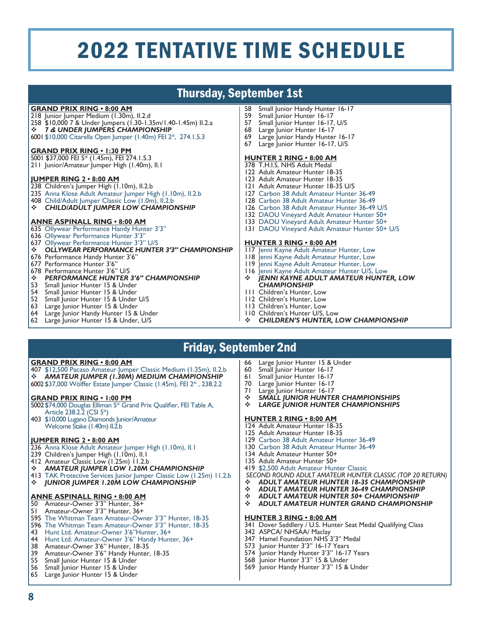# Thursday, September 1st

#### **GRAND PRIX RING • 8:00 AM**

- 218 Junior Jumper Medium (1.30m), II.2.d 258 \$10,000 7 & Under Jumpers (1.30-1.35m/1.40-1.45m) II.2.a *7 & UNDER JUMPERS CHAMPIONSHIP*
- 6001 \$10,000 Citarella Open Jumper (1.40m) FEI 2\*, 274.1.5.3

#### **GRAND PRIX RING • 1:30 PM**

5001 \$37,000 FEI 5\* (1.45m), FEI 274.1.5.3 211 Junior/Amateur Jumper High (1.40m), II.1

#### **JUMPER RING 2 • 8:00 AM**

- 238 Children's Jumper High (1.10m), II.2.b
- 235 Anna Klose Adult Amateur Jumper High (1.10m), II.2.b
- 408 Child/Adult Jumper Classic Low (1.0m), II.2.b
- *CHILD/ADULT JUMPER LOW CHAMPIONSHIP*

#### **ANNE ASPINALL RING • 8:00 AM**

- 635 Ollywear Performance Handy Hunter 3'3"
- 636 Ollywear Performance Hunter 3'3
- 637 Ollywear Performance Hunter 3'3" U/S
- *OLLYWEAR PERFORMANCE HUNTER 3'3" CHAMPIONSHIP*
- 676 Performance Handy Hunter 3'6"
- 677 Performance Hunter 3'6"
- 678 Performance Hunter 3'6" U/S
- *PERFORMANCE HUNTER 3'6" CHAMPIONSHIP*<br>53 Small Junior Hunter 15 & Under
- 53 Small Junior Hunter 15 & Under<br>54 Small Iunior Hunter 15 & Under
- Small Junior Hunter 15 & Under
- 52 Small Junior Hunter 15 & Under U/S<br>63 Large Junior Hunter 15 & Under
- Large Junior Hunter 15 & Under
- 64 Large Junior Handy Hunter 15 & Under
- 62 Large Junior Hunter 15 & Under, U/S
- 58 Small Junior Handy Hunter 16-17<br>59 Small Iunior Hunter 16-17
- 59 Small Junior Hunter 16-17<br>57 Small Junior Hunter 16-17
- Small Junior Hunter 16-17, U/S
- 68 Large Junior Hunter 16-17
- Large Junior Handy Hunter 16-17 67 Large Junior Hunter 16-17, U/S

#### **HUNTER 2 RING • 8:00 AM**

- 378 T.H.I.S. NHS Adult Medal
- 122 Adult Amateur Hunter 18-35
- 123 Adult Amateur Hunter 18-35
- 121 Adult Amateur Hunter 18-35 U/S
- 127 Carbon 38 Adult Amateur Hunter 36-49
- 128 Carbon 38 Adult Amateur Hunter 36-49
- 126 Carbon 38 Adult Amateur Hunter 36-49 U/S
- 132 DAOU Vineyard Adult Amateur Hunter 50+
- 133 DAOU Vineyard Adult Amateur Hunter 50+
- 131 DAOU Vineyard Adult Amateur Hunter 50+ U/S

#### **HUNTER 3 RING • 8:00 AM**

- 117 Jenni Kayne Adult Amateur Hunter, Low
- 118 Jenni Kayne Adult Amateur Hunter, Low
- 119 Jenni Kayne Adult Amateur Hunter, Low
- 116 Jenni Kayne Adult Amateur Hunter U/S, Low<br>\* IENNI KAYNE ADULT AMATEUR HUNTI
- *JENNI KAYNE ADULT AMATEUR HUNTER, LOW CHAMPIONSHIP*
- 111 Children's Hunter, Low
- 112 Children's Hunter, Low
- 113 Children's Hunter, Low
- 110 Children's Hunter U/S, Low<br>❖ CHII DREN'S HUNTER 1
- *CHILDREN'S HUNTER, LOW CHAMPIONSHIP*

# Friday, September 2nd

**GRAND PRIX RING • 8:00 AM**

407 \$12,500 Pacaso Amateur Jumper Classic Medium (1.35m), II.2.b *AMATEUR JUMPER (1.30M) MEDIUM CHAMPIONSHIP* 6002 \$37,000 Wölffer Estate Jumper Classic (1.45m), FEI 2\* , 238.2.2

#### **GRAND PRIX RING • 1:00 PM**

- 5002\$74,000 Douglas Elliman 5\* Grand Prix Qualifier, FEI Table A, Article 238.2.2 (CSI 5\*)
- 403 \$10,000 Lugano Diamonds Junior/Amateur Welcome Stake (1.40m) II.2.b

#### **JUMPER RING 2 • 8:00 AM**

- 236 Anna Klose Adult Amateur Jumper High (1.10m), II.1
- 239 Children's Jumper High (1.10m), II.1
- 412 Amateur Classic Low (1.25m) 11.2.b
- *AMATEUR JUMPER LOW 1.20M CHAMPIONSHIP*
- 413 TAK Protective Services Junior Jumper Classic Low (1.25m) 11.2.b
- *JUNIOR JUMPER 1.20M LOW CHAMPIONSHIP*

#### **ANNE ASPINALL RING • 8:00 AM**

- 50 Amateur-Owner 3'3" Hunter, 36+
- 51 Amateur-Owner 3'3" Hunter, 36+
- 595 The Whitman Team Amateur-Owner 3'3" Hunter, 18-35
- 596 The Whitman Team Amateur-Owner 3'3" Hunter, 18-35 43 Hunt Ltd. Amateur-Owner 3'6"Hunter, 36+
- 
- 44 Hunt Ltd. Amateur-Owner 3'6" Handy Hunter, 36+ 38 Amateur-Owner 3'6" Hunter, 18-35
- 39 Amateur-Owner 3'6" Handy Hunter, 18-35
- 
- 55 Small Junior Hunter 15 & Under<br>56 Small Junior Hunter 15 & Under Small Junior Hunter 15 & Under
- 65 Large Junior Hunter 15 & Under

8

- 66 Large Junior Hunter 15 & Under<br>60 Small Junior Hunter 16-17
- Small Junior Hunter 16-17
- 61 Small Junior Hunter 16-17
- Large Junior Hunter 16-17
- 71 Large Junior Hunter 16-17<br>❖ SMAI I IUNIOR HUNTE
- *SMALL JUNIOR HUNTER CHAMPIONSHIPS LARGE JUNIOR HUNTER CHAMPIONSHIPS*

#### **HUNTER 2 RING • 8:00 AM**

- 124 Adult Amateur Hunter 18-35
- 125 Adult Amateur Hunter 18-35
- 129 Carbon 38 Adult Amateur Hunter 36-49
- 130 Carbon 38 Adult Amateur Hunter 36-49
- 134 Adult Amateur Hunter 50+
- 135 Adult Amateur Hunter 50+
- 419 \$2,500 Adult Amateur Hunter Classic
- *SECOND ROUND ADULT AMATEUR HUNTER CLASSIC (TOP 20 RETURN)*
- *ADULT AMATEUR HUNTER 18-35 CHAMPIONSHIP*
- *ADULT AMATEUR HUNTER 36-49 CHAMPIONSHIP*
- **↑ ADULT AMATEUR HUNTER 50+ CHAMPIONSHIP**<br>↑ ADULT AMATEUR HUNTER GRAND CHAMPIONS
- *ADULT AMATEUR HUNTER GRAND CHAMPIONSHIP*

#### **HUNTER 3 RING • 8:00 AM**

- 341 Dover Saddlery / U.S. Hunter Seat Medal Qualifying Class
- 342 ASPCA/ NHSÁA/ Maclay

 Hamel Foundation NHS 3'3" Medal Junior Hunter 3'3" 16-17 Years Junior Handy Hunter 3'3" 16-17 Years Junior Hunter 3'3" 15 & Under Junior Handy Hunter 3'3" 15 & Under